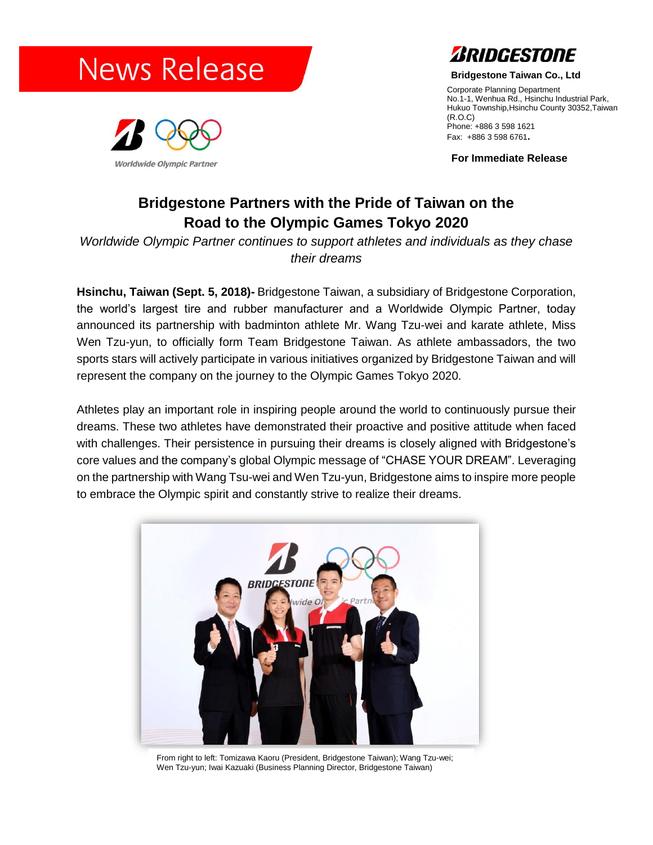



**Bridgestone Taiwan Co., Ltd**

Corporate Planning Department No.1-1, Wenhua Rd., Hsinchu Industrial Park, Hukuo Township,Hsinchu County 30352,Taiwan (R.O.C) Phone: +886 3 598 1621 Fax: +886 3 598 6761**.**

**For Immediate Release**

# **Bridgestone Partners with the Pride of Taiwan on the Road to the Olympic Games Tokyo 2020**

*Worldwide Olympic Partner continues to support athletes and individuals as they chase their dreams*

**Hsinchu, Taiwan (Sept. 5, 2018)-** Bridgestone Taiwan, a subsidiary of Bridgestone Corporation, the world's largest tire and rubber manufacturer and a Worldwide Olympic Partner, today announced its partnership with badminton athlete Mr. Wang Tzu-wei and karate athlete, Miss Wen Tzu-yun, to officially form Team Bridgestone Taiwan. As athlete ambassadors, the two sports stars will actively participate in various initiatives organized by Bridgestone Taiwan and will represent the company on the journey to the Olympic Games Tokyo 2020.

Athletes play an important role in inspiring people around the world to continuously pursue their dreams. These two athletes have demonstrated their proactive and positive attitude when faced with challenges. Their persistence in pursuing their dreams is closely aligned with Bridgestone's core values and the company's global Olympic message of "CHASE YOUR DREAM". Leveraging on the partnership with Wang Tsu-wei and Wen Tzu-yun, Bridgestone aims to inspire more people to embrace the Olympic spirit and constantly strive to realize their dreams.



From right to left: Tomizawa Kaoru (President, Bridgestone Taiwan); Wang Tzu-wei; Wen Tzu-yun; Iwai Kazuaki (Business Planning Director, Bridgestone Taiwan)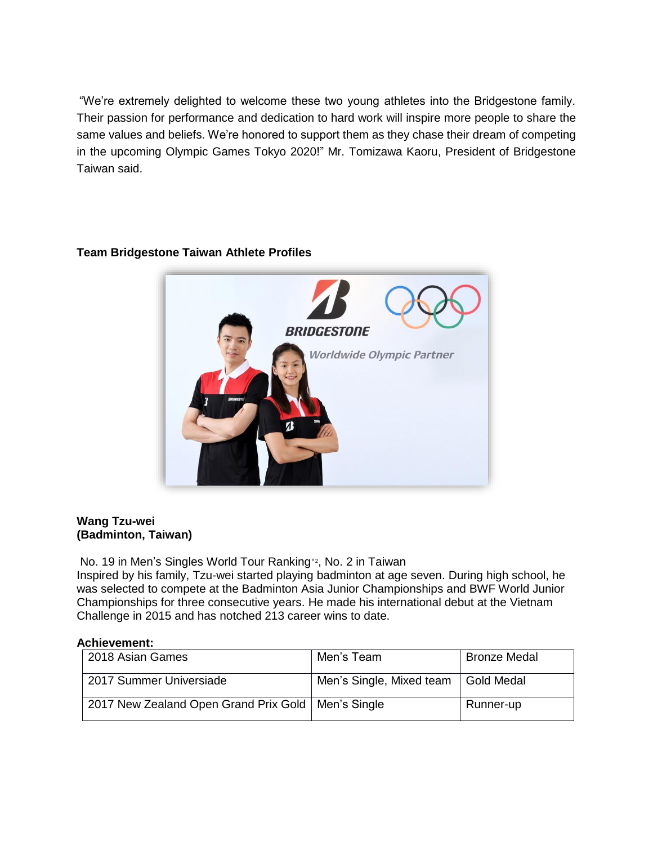"We're extremely delighted to welcome these two young athletes into the Bridgestone family. Their passion for performance and dedication to hard work will inspire more people to share the same values and beliefs. We're honored to support them as they chase their dream of competing in the upcoming Olympic Games Tokyo 2020!" Mr. Tomizawa Kaoru, President of Bridgestone Taiwan said.



## **Team Bridgestone Taiwan Athlete Profiles**

## **Wang Tzu-wei (Badminton, Taiwan)**

No. 19 in Men's Singles World Tour Ranking\*<sup>2</sup> , No. 2 in Taiwan

Inspired by his family, Tzu-wei started playing badminton at age seven. During high school, he was selected to compete at the Badminton Asia Junior Championships and BWF World Junior Championships for three consecutive years. He made his international debut at the Vietnam Challenge in 2015 and has notched 213 career wins to date.

### **Achievement:**

| 2018 Asian Games                                     | Men's Team               | <b>Bronze Medal</b> |
|------------------------------------------------------|--------------------------|---------------------|
| 2017 Summer Universiade                              | Men's Single, Mixed team | Gold Medal          |
| 2017 New Zealand Open Grand Prix Gold   Men's Single |                          | Runner-up           |